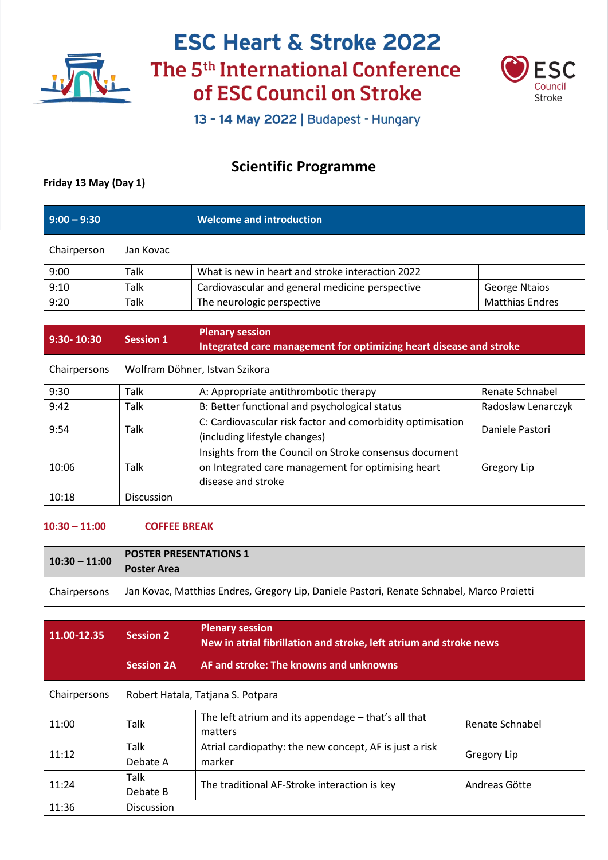



13 - 14 May 2022 | Budapest - Hungary

### **Scientific Programme**

### **Friday 13 May (Day 1)**

| $9:00 - 9:30$ |           | <b>Welcome and introduction</b>                  |                        |
|---------------|-----------|--------------------------------------------------|------------------------|
| Chairperson   | Jan Kovac |                                                  |                        |
| 9:00          | Talk      | What is new in heart and stroke interaction 2022 |                        |
| 9:10          | Talk      | Cardiovascular and general medicine perspective  | <b>George Ntaios</b>   |
| 9:20          | Talk      | The neurologic perspective                       | <b>Matthias Endres</b> |

| 9:30-10:30   | <b>Session 1</b>               | <b>Plenary session</b><br>Integrated care management for optimizing heart disease and stroke                                       |                    |
|--------------|--------------------------------|------------------------------------------------------------------------------------------------------------------------------------|--------------------|
| Chairpersons | Wolfram Döhner, Istvan Szikora |                                                                                                                                    |                    |
| 9:30         | Talk                           | A: Appropriate antithrombotic therapy                                                                                              | Renate Schnabel    |
| 9:42         | Talk                           | B: Better functional and psychological status                                                                                      | Radoslaw Lenarczyk |
| 9:54         | Talk                           | C: Cardiovascular risk factor and comorbidity optimisation<br>(including lifestyle changes)                                        | Daniele Pastori    |
| 10:06        | Talk                           | Insights from the Council on Stroke consensus document<br>on Integrated care management for optimising heart<br>disease and stroke | Gregory Lip        |
| 10:18        | <b>Discussion</b>              |                                                                                                                                    |                    |

### **10:30 – 11:00 COFFEE BREAK**

| $10:30 - 11:00$ | <b>POSTER PRESENTATIONS 1</b><br><b>Poster Area</b>                                       |
|-----------------|-------------------------------------------------------------------------------------------|
| Chairpersons    | Jan Kovac, Matthias Endres, Gregory Lip, Daniele Pastori, Renate Schnabel, Marco Proietti |

| 11.00-12.35  | <b>Session 2</b>                  | <b>Plenary session</b><br>New in atrial fibrillation and stroke, left atrium and stroke news |                    |
|--------------|-----------------------------------|----------------------------------------------------------------------------------------------|--------------------|
|              | <b>Session 2A</b>                 | AF and stroke: The knowns and unknowns                                                       |                    |
| Chairpersons | Robert Hatala, Tatjana S. Potpara |                                                                                              |                    |
| 11:00        | <b>Talk</b>                       | The left atrium and its appendage - that's all that<br>matters                               | Renate Schnabel    |
| 11:12        | <b>Talk</b><br>Debate A           | Atrial cardiopathy: the new concept, AF is just a risk<br>marker                             | <b>Gregory Lip</b> |
| 11:24        | Talk<br>Debate B                  | The traditional AF-Stroke interaction is key                                                 | Andreas Götte      |
| 11:36        | <b>Discussion</b>                 |                                                                                              |                    |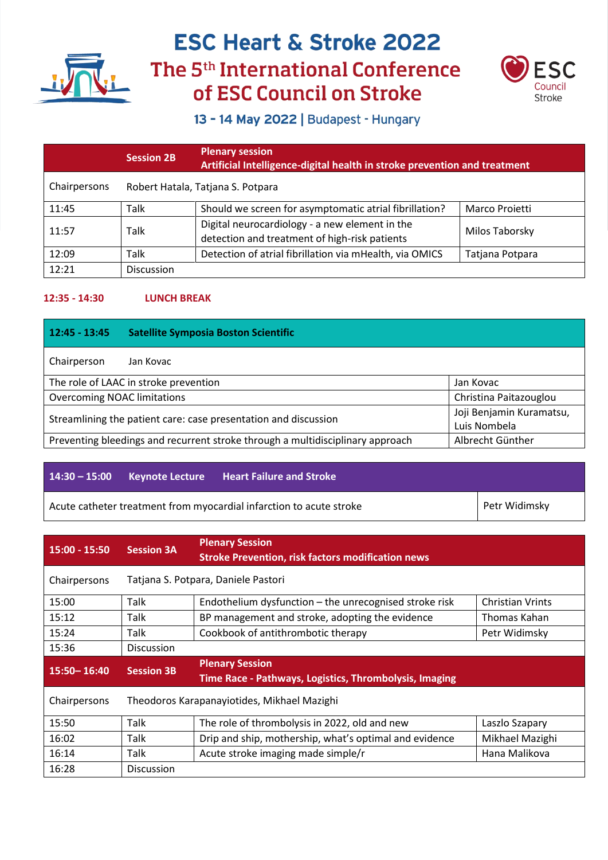



13 - 14 May 2022 | Budapest - Hungary

|              | <b>Session 2B</b>                 | <b>Plenary session</b><br>Artificial Intelligence-digital health in stroke prevention and treatment |                 |
|--------------|-----------------------------------|-----------------------------------------------------------------------------------------------------|-----------------|
| Chairpersons | Robert Hatala, Tatjana S. Potpara |                                                                                                     |                 |
| 11:45        | Talk                              | Should we screen for asymptomatic atrial fibrillation?                                              | Marco Proietti  |
| 11:57        | Talk                              | Digital neurocardiology - a new element in the<br>detection and treatment of high-risk patients     | Milos Taborsky  |
| 12:09        | Talk                              | Detection of atrial fibrillation via mHealth, via OMICS                                             | Tatjana Potpara |
| 12:21        | <b>Discussion</b>                 |                                                                                                     |                 |

#### **12:35 - 14:30 LUNCH BREAK**

| $12:45 - 13:45$                                                                                             | <b>Satellite Symposia Boston Scientific</b>                  |  |  |  |  |
|-------------------------------------------------------------------------------------------------------------|--------------------------------------------------------------|--|--|--|--|
| Chairperson                                                                                                 | Jan Kovac                                                    |  |  |  |  |
|                                                                                                             | The role of LAAC in stroke prevention<br>Jan Kovac           |  |  |  |  |
|                                                                                                             | Christina Paitazouglou<br><b>Overcoming NOAC limitations</b> |  |  |  |  |
| Joji Benjamin Kuramatsu,<br>Streamlining the patient care: case presentation and discussion<br>Luis Nombela |                                                              |  |  |  |  |
| Preventing bleedings and recurrent stroke through a multidisciplinary approach<br>Albrecht Günther          |                                                              |  |  |  |  |

|  | $14:30 - 15:00$ Keynote Lecture Heart Failure and Stroke            |               |
|--|---------------------------------------------------------------------|---------------|
|  | Acute catheter treatment from myocardial infarction to acute stroke | Petr Widimsky |

| $15:00 - 15:50$ | <b>Session 3A</b> | <b>Plenary Session</b><br><b>Stroke Prevention, risk factors modification news</b> |                         |
|-----------------|-------------------|------------------------------------------------------------------------------------|-------------------------|
| Chairpersons    |                   | Tatjana S. Potpara, Daniele Pastori                                                |                         |
| 15:00           | Talk              | Endothelium dysfunction - the unrecognised stroke risk                             | <b>Christian Vrints</b> |
| 15:12           | Talk              | BP management and stroke, adopting the evidence                                    | Thomas Kahan            |
| 15:24           | Talk              | Cookbook of antithrombotic therapy                                                 | Petr Widimsky           |
| 15:36           | <b>Discussion</b> |                                                                                    |                         |
| $15:50 - 16:40$ | <b>Session 3B</b> | <b>Plenary Session</b><br>Time Race - Pathways, Logistics, Thrombolysis, Imaging   |                         |
| Chairpersons    |                   | Theodoros Karapanayiotides, Mikhael Mazighi                                        |                         |
| 15:50           | Talk              | The role of thrombolysis in 2022, old and new                                      | Laszlo Szapary          |
| 16:02           | Talk              | Drip and ship, mothership, what's optimal and evidence                             | Mikhael Mazighi         |
| 16:14           | Talk              | Acute stroke imaging made simple/r                                                 | Hana Malikova           |
| 16:28           | <b>Discussion</b> |                                                                                    |                         |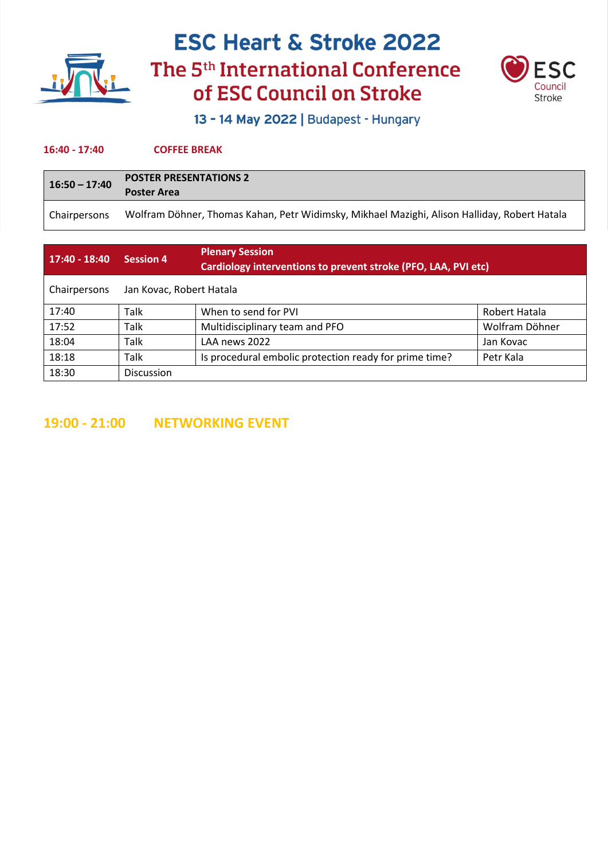



13 - 14 May 2022 | Budapest - Hungary

#### **16:40 - 17:40 COFFEE BREAK**

| $16:50 - 17:40$ | <b>POSTER PRESENTATIONS 2</b><br><b>Poster Area</b>                                          |  |
|-----------------|----------------------------------------------------------------------------------------------|--|
| Chairpersons    | Wolfram Döhner, Thomas Kahan, Petr Widimsky, Mikhael Mazighi, Alison Halliday, Robert Hatala |  |

| $17:40 - 18:40$ | <b>Session 4</b>         | <b>Plenary Session</b><br>Cardiology interventions to prevent stroke (PFO, LAA, PVI etc) |                |
|-----------------|--------------------------|------------------------------------------------------------------------------------------|----------------|
| Chairpersons    | Jan Kovac, Robert Hatala |                                                                                          |                |
| 17:40           | Talk                     | When to send for PVI                                                                     | Robert Hatala  |
| 17:52           | <b>Talk</b>              | Multidisciplinary team and PFO                                                           | Wolfram Döhner |
| 18:04           | <b>Talk</b>              | LAA news 2022                                                                            | Jan Kovac      |
| 18:18           | Talk                     | Is procedural embolic protection ready for prime time?                                   | Petr Kala      |
| 18:30           | <b>Discussion</b>        |                                                                                          |                |

**19:00 - 21:00 NETWORKING EVENT**